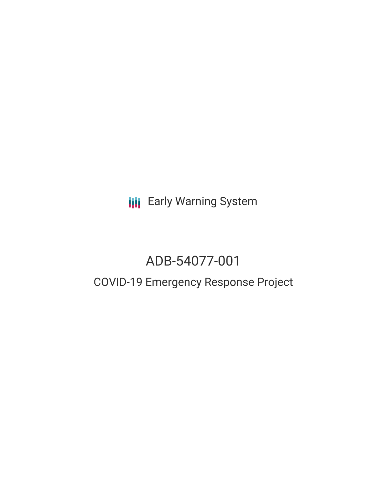**III** Early Warning System

# ADB-54077-001

## COVID-19 Emergency Response Project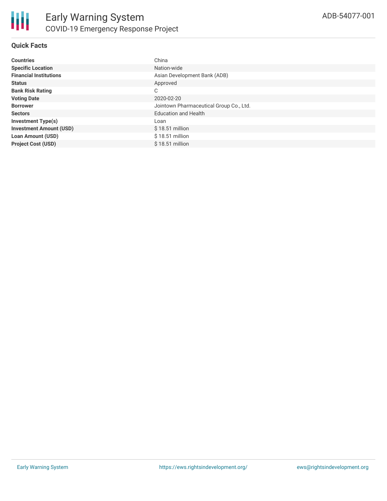#### **Quick Facts**

| <b>Countries</b>               | China                                   |
|--------------------------------|-----------------------------------------|
| <b>Specific Location</b>       | Nation-wide                             |
| <b>Financial Institutions</b>  | Asian Development Bank (ADB)            |
| <b>Status</b>                  | Approved                                |
| <b>Bank Risk Rating</b>        | C                                       |
| <b>Voting Date</b>             | 2020-02-20                              |
| <b>Borrower</b>                | Jointown Pharmaceutical Group Co., Ltd. |
| <b>Sectors</b>                 | <b>Education and Health</b>             |
| <b>Investment Type(s)</b>      | Loan                                    |
| <b>Investment Amount (USD)</b> | $$18.51$ million                        |
| <b>Loan Amount (USD)</b>       | $$18.51$ million                        |
| <b>Project Cost (USD)</b>      | $$18.51$ million                        |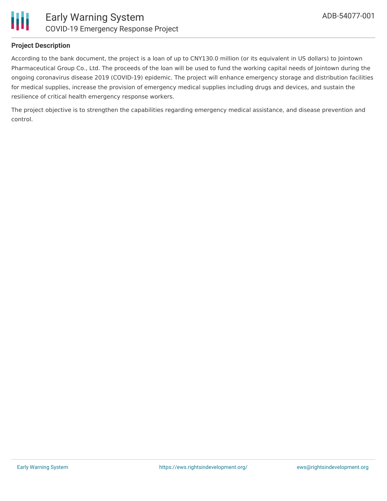

#### **Project Description**

According to the bank document, the project is a loan of up to CNY130.0 million (or its equivalent in US dollars) to Jointown Pharmaceutical Group Co., Ltd. The proceeds of the loan will be used to fund the working capital needs of Jointown during the ongoing coronavirus disease 2019 (COVID-19) epidemic. The project will enhance emergency storage and distribution facilities for medical supplies, increase the provision of emergency medical supplies including drugs and devices, and sustain the resilience of critical health emergency response workers.

The project objective is to strengthen the capabilities regarding emergency medical assistance, and disease prevention and control.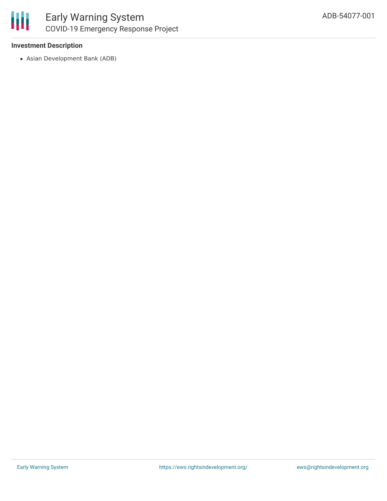

#### **Investment Description**

Asian Development Bank (ADB)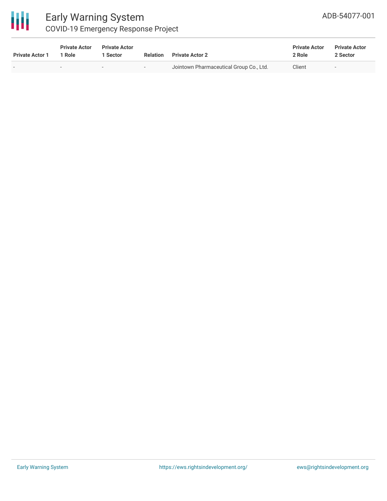

### Early Warning System COVID-19 Emergency Response Project

| <b>Private Actor 1</b> | <b>Private Actor</b><br>1 Role | <b>Private Actor</b><br>1 Sector |                          | <b>Relation</b> Private Actor 2         | <b>Private Actor</b><br>2 Role | <b>Private Actor</b><br>2 Sector |  |
|------------------------|--------------------------------|----------------------------------|--------------------------|-----------------------------------------|--------------------------------|----------------------------------|--|
|                        | $\overline{\phantom{a}}$       | $\overline{\phantom{a}}$         | $\overline{\phantom{0}}$ | Jointown Pharmaceutical Group Co., Ltd. | Client                         |                                  |  |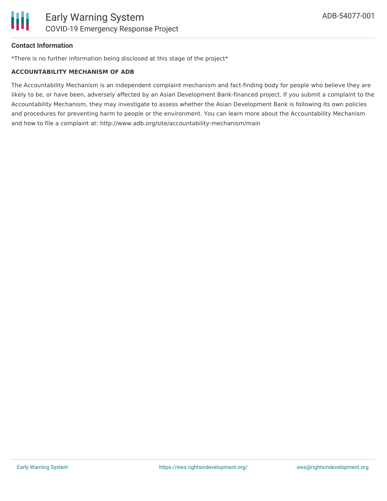

#### **Contact Information**

\*There is no further information being disclosed at this stage of the project\*

#### **ACCOUNTABILITY MECHANISM OF ADB**

The Accountability Mechanism is an independent complaint mechanism and fact-finding body for people who believe they are likely to be, or have been, adversely affected by an Asian Development Bank-financed project. If you submit a complaint to the Accountability Mechanism, they may investigate to assess whether the Asian Development Bank is following its own policies and procedures for preventing harm to people or the environment. You can learn more about the Accountability Mechanism and how to file a complaint at: http://www.adb.org/site/accountability-mechanism/main